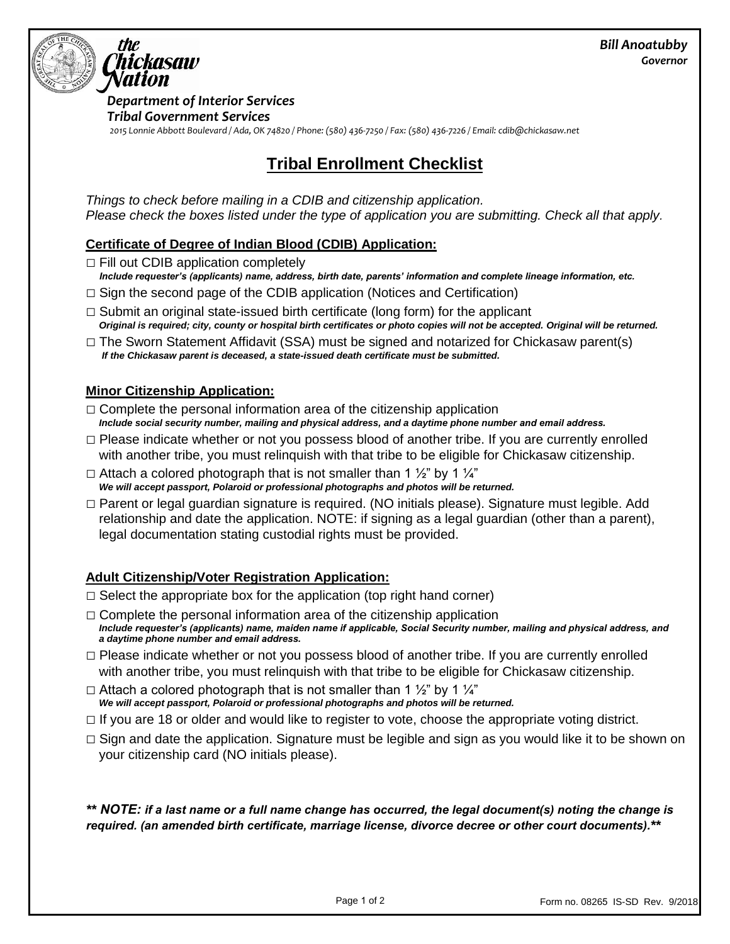

*Department of Interior Services Tribal Government Services 2015 Lonnie Abbott Boulevard / Ada, OK 74820 / Phone: (580) 436-7250 / Fax: (580) 436-7226 / Email: cdib@chickasaw.net*

# **Tribal Enrollment Checklist**

*Things to check before mailing in a CDIB and citizenship application. Please check the boxes listed under the type of application you are submitting. Check all that apply.* 

#### **Certificate of Degree of Indian Blood (CDIB) Application:**

 $\Box$  Fill out CDIB application completely

- *Include requester's (applicants) name, address, birth date, parents' information and complete lineage information, etc.*
- $\Box$  Sign the second page of the CDIB application (Notices and Certification)
- $\Box$  Submit an original state-issued birth certificate (long form) for the applicant *Original is required; city, county or hospital birth certificates or photo copies will not be accepted. Original will be returned.*
- $\Box$  The Sworn Statement Affidavit (SSA) must be signed and notarized for Chickasaw parent(s) *If the Chickasaw parent is deceased, a state-issued death certificate must be submitted.*

#### **Minor Citizenship Application:**

- $\Box$  Complete the personal information area of the citizenship application *Include social security number, mailing and physical address, and a daytime phone number and email address.*
- $\Box$  Please indicate whether or not you possess blood of another tribe. If you are currently enrolled with another tribe, you must relinquish with that tribe to be eligible for Chickasaw citizenship.
- $\Box$  Attach a colored photograph that is not smaller than 1  $\frac{1}{2}$  by 1  $\frac{1}{4}$ *We will accept passport, Polaroid or professional photographs and photos will be returned.*
- □ Parent or legal guardian signature is required. (NO initials please). Signature must legible. Add relationship and date the application. NOTE: if signing as a legal guardian (other than a parent), legal documentation stating custodial rights must be provided.

### **Adult Citizenship/Voter Registration Application:**

- $\Box$  Select the appropriate box for the application (top right hand corner)
- $\Box$  Complete the personal information area of the citizenship application *Include requester's (applicants) name, maiden name if applicable, Social Security number, mailing and physical address, and a daytime phone number and email address.*
- $\Box$  Please indicate whether or not you possess blood of another tribe. If you are currently enrolled with another tribe, you must relinquish with that tribe to be eligible for Chickasaw citizenship.
- $\Box$  Attach a colored photograph that is not smaller than 1  $\frac{1}{2}$ " by 1  $\frac{1}{4}$ " *We will accept passport, Polaroid or professional photographs and photos will be returned.*
- $\Box$  If you are 18 or older and would like to register to vote, choose the appropriate voting district.
- $\Box$  Sign and date the application. Signature must be legible and sign as you would like it to be shown on your citizenship card (NO initials please).

*\*\* NOTE: if a last name or a full name change has occurred, the legal document(s) noting the change is required. (an amended birth certificate, marriage license, divorce decree or other court documents).\*\**